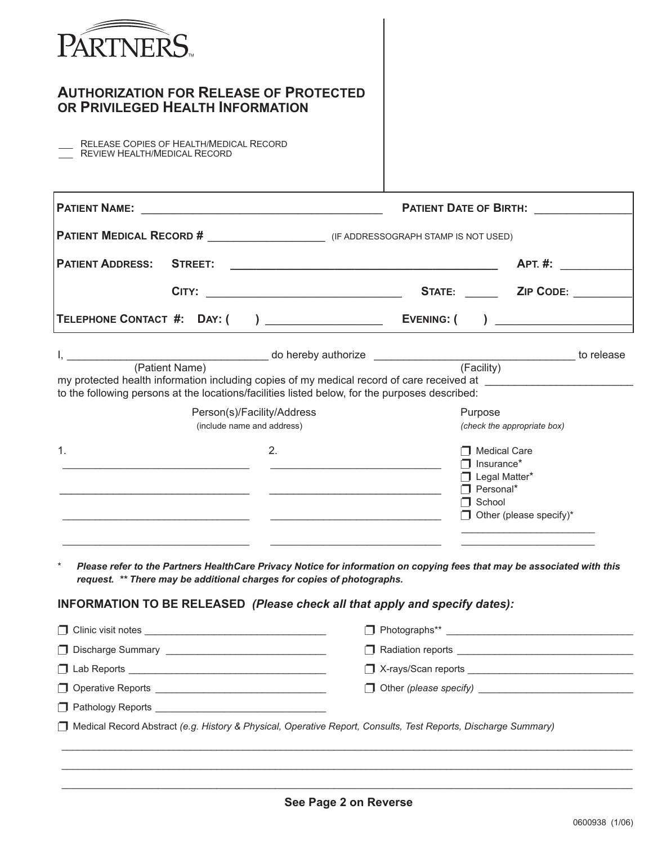| <b>AUTHORIZATION FOR RELEASE OF PROTECTED</b><br>OR PRIVILEGED HEALTH INFORMATION                                                                                                                                                                                                       |                                                                                                         |                                                                                                             |                                                                                                                                                                                                                                      |  |
|-----------------------------------------------------------------------------------------------------------------------------------------------------------------------------------------------------------------------------------------------------------------------------------------|---------------------------------------------------------------------------------------------------------|-------------------------------------------------------------------------------------------------------------|--------------------------------------------------------------------------------------------------------------------------------------------------------------------------------------------------------------------------------------|--|
| RELEASE COPIES OF HEALTH/MEDICAL RECORD<br>REVIEW HEALTH/MEDICAL RECORD                                                                                                                                                                                                                 |                                                                                                         |                                                                                                             |                                                                                                                                                                                                                                      |  |
| <b>PATIENT NAME:</b>                                                                                                                                                                                                                                                                    | <u> 2002 - Johann John Harry Hermer (d. 1982)</u>                                                       |                                                                                                             | <b>PATIENT DATE OF BIRTH:</b>                                                                                                                                                                                                        |  |
|                                                                                                                                                                                                                                                                                         |                                                                                                         |                                                                                                             |                                                                                                                                                                                                                                      |  |
| <b>PATIENT ADDRESS:</b><br><b>STREET:</b>                                                                                                                                                                                                                                               |                                                                                                         |                                                                                                             | <b>APT. #:</b>                                                                                                                                                                                                                       |  |
| CITY:                                                                                                                                                                                                                                                                                   | <u> 1989 - Johann John Stone, mars eta bainar eta </u>                                                  | <b>STATE:</b>                                                                                               | <b>ZIP CODE:</b>                                                                                                                                                                                                                     |  |
|                                                                                                                                                                                                                                                                                         |                                                                                                         |                                                                                                             | $\overline{a}$                                                                                                                                                                                                                       |  |
| (Patient Name)<br>my protected health information including copies of my medical record of care received at<br>to the following persons at the locations/facilities listed below, for the purposes described:<br>1.<br>$^\star$                                                         | do hereby authorize _________________<br>Person(s)/Facility/Address<br>(include name and address)<br>2. |                                                                                                             | <b>Example 10 release</b><br>(Facility)<br>Purpose<br>(check the appropriate box)<br><b>1</b> Medical Care<br>$\overline{\phantom{a}}$ Insurance*<br>Legal Matter*<br>$\Box$ Personal*<br><b>1</b> School<br>Other (please specify)* |  |
| Please refer to the Partners HealthCare Privacy Notice for information on copying fees that may be associated with this<br>request. ** There may be additional charges for copies of photographs.<br><b>INFORMATION TO BE RELEASED (Please check all that apply and specify dates):</b> |                                                                                                         |                                                                                                             |                                                                                                                                                                                                                                      |  |
|                                                                                                                                                                                                                                                                                         |                                                                                                         |                                                                                                             |                                                                                                                                                                                                                                      |  |
|                                                                                                                                                                                                                                                                                         |                                                                                                         |                                                                                                             |                                                                                                                                                                                                                                      |  |
|                                                                                                                                                                                                                                                                                         |                                                                                                         | X-rays/Scan reports   New York   New York   New York   New York   New York   New York   New York   New York |                                                                                                                                                                                                                                      |  |
|                                                                                                                                                                                                                                                                                         |                                                                                                         |                                                                                                             |                                                                                                                                                                                                                                      |  |
| Pathology Reports <b>Participal Act and Act of Pathology Reports</b> 2001 12:00 12:00 12:00 12:00 12:00 12:00 12:00 12:00 12:00 12:00 12:00 12:00 12:00 12:00 12:00 12:00 12:00 12:00 12:00 12:00 12:00 12:00 12:00 12:00 12:00 12:                                                     |                                                                                                         |                                                                                                             |                                                                                                                                                                                                                                      |  |
| Medical Record Abstract (e.g. History & Physical, Operative Report, Consults, Test Reports, Discharge Summary)                                                                                                                                                                          |                                                                                                         |                                                                                                             |                                                                                                                                                                                                                                      |  |
|                                                                                                                                                                                                                                                                                         |                                                                                                         |                                                                                                             |                                                                                                                                                                                                                                      |  |
|                                                                                                                                                                                                                                                                                         | <b>Con Dogo 2 on Deverse</b>                                                                            |                                                                                                             |                                                                                                                                                                                                                                      |  |